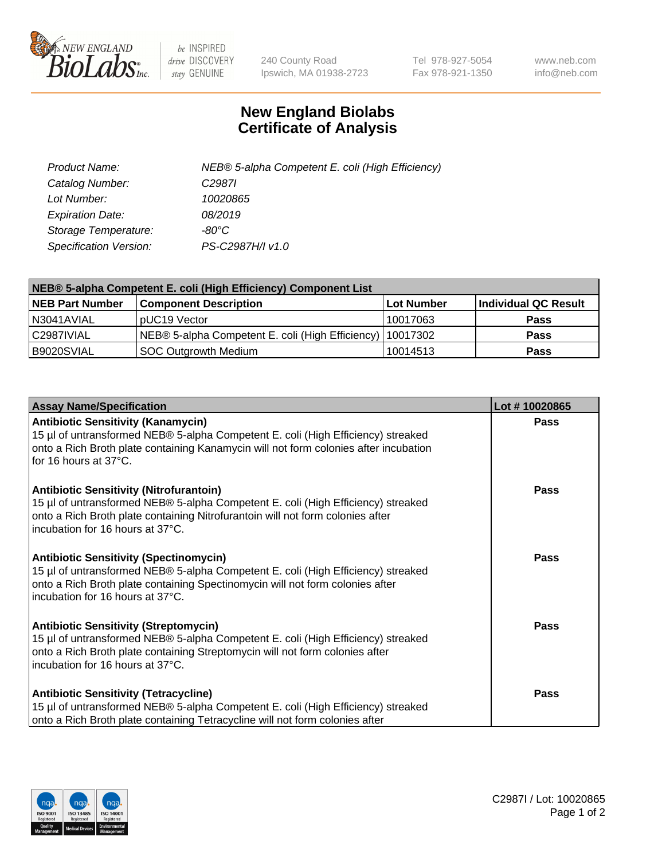

 $be$  INSPIRED drive DISCOVERY stay GENUINE

240 County Road Ipswich, MA 01938-2723 Tel 978-927-5054 Fax 978-921-1350 www.neb.com info@neb.com

## **New England Biolabs Certificate of Analysis**

| Product Name:           | NEB® 5-alpha Competent E. coli (High Efficiency) |
|-------------------------|--------------------------------------------------|
| Catalog Number:         | C <sub>2987</sub>                                |
| Lot Number:             | 10020865                                         |
| <b>Expiration Date:</b> | 08/2019                                          |
| Storage Temperature:    | -80°C                                            |
| Specification Version:  | PS-C2987H/I v1.0                                 |

| NEB® 5-alpha Competent E. coli (High Efficiency) Component List |                                                             |            |                      |  |
|-----------------------------------------------------------------|-------------------------------------------------------------|------------|----------------------|--|
| <b>NEB Part Number</b>                                          | <b>Component Description</b>                                | Lot Number | Individual QC Result |  |
| N3041AVIAL                                                      | pUC19 Vector                                                | 10017063   | Pass                 |  |
| C2987IVIAL                                                      | NEB® 5-alpha Competent E. coli (High Efficiency)   10017302 |            | <b>Pass</b>          |  |
| B9020SVIAL                                                      | <b>SOC Outgrowth Medium</b>                                 | 10014513   | <b>Pass</b>          |  |

| <b>Assay Name/Specification</b>                                                                                                                                                                                                                          | Lot #10020865 |
|----------------------------------------------------------------------------------------------------------------------------------------------------------------------------------------------------------------------------------------------------------|---------------|
| <b>Antibiotic Sensitivity (Kanamycin)</b><br>15 µl of untransformed NEB® 5-alpha Competent E. coli (High Efficiency) streaked<br>onto a Rich Broth plate containing Kanamycin will not form colonies after incubation<br>for 16 hours at 37°C.           | Pass          |
| <b>Antibiotic Sensitivity (Nitrofurantoin)</b><br>15 µl of untransformed NEB® 5-alpha Competent E. coli (High Efficiency) streaked<br>onto a Rich Broth plate containing Nitrofurantoin will not form colonies after<br>incubation for 16 hours at 37°C. | Pass          |
| <b>Antibiotic Sensitivity (Spectinomycin)</b><br>15 µl of untransformed NEB® 5-alpha Competent E. coli (High Efficiency) streaked<br>onto a Rich Broth plate containing Spectinomycin will not form colonies after<br>incubation for 16 hours at 37°C.   | Pass          |
| <b>Antibiotic Sensitivity (Streptomycin)</b><br>15 µl of untransformed NEB® 5-alpha Competent E. coli (High Efficiency) streaked<br>onto a Rich Broth plate containing Streptomycin will not form colonies after<br>incubation for 16 hours at 37°C.     | <b>Pass</b>   |
| <b>Antibiotic Sensitivity (Tetracycline)</b><br>15 µl of untransformed NEB® 5-alpha Competent E. coli (High Efficiency) streaked<br>onto a Rich Broth plate containing Tetracycline will not form colonies after                                         | Pass          |